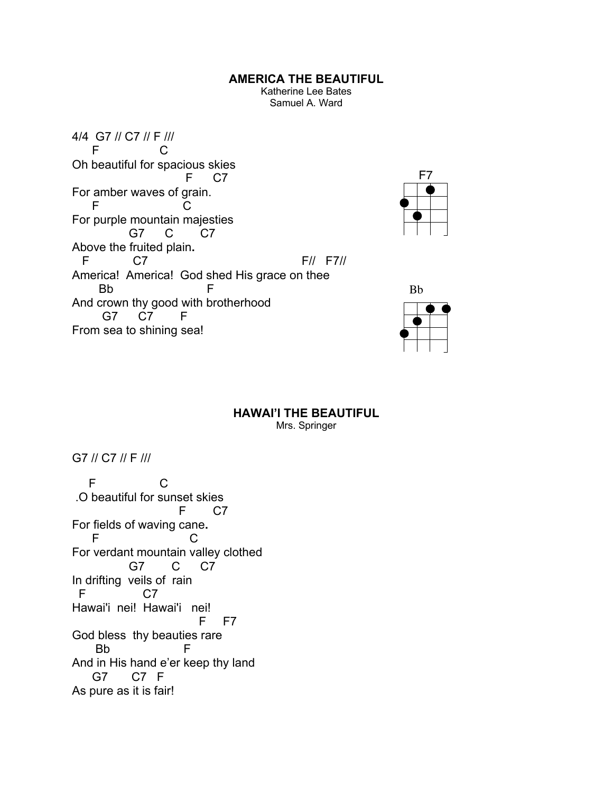## **AMERICA THE BEAUTIFUL**

Katherine Lee Bates Samuel A. Ward

4/4 G7 // C7 // F /// F C Oh beautiful for spacious skies F C7 For amber waves of grain. F C For purple mountain majesties G7 C C7 Above the fruited plain**.** F C7 F// F7// America! America! God shed His grace on thee Bb F And crown thy good with brotherhood G7 C7 F From sea to shining sea!





## **HAWAI'I THE BEAUTIFUL** Mrs. Springer

G7 // C7 // F ///

 F C .O beautiful for sunset skies F C7 For fields of waving cane**.** F C For verdant mountain valley clothed G7 C C7 In drifting veils of rain F C7 Hawai'i nei! Hawai'i nei! F F7 God bless thy beauties rare Bb F And in His hand e'er keep thy land G7 C7 F As pure as it is fair!